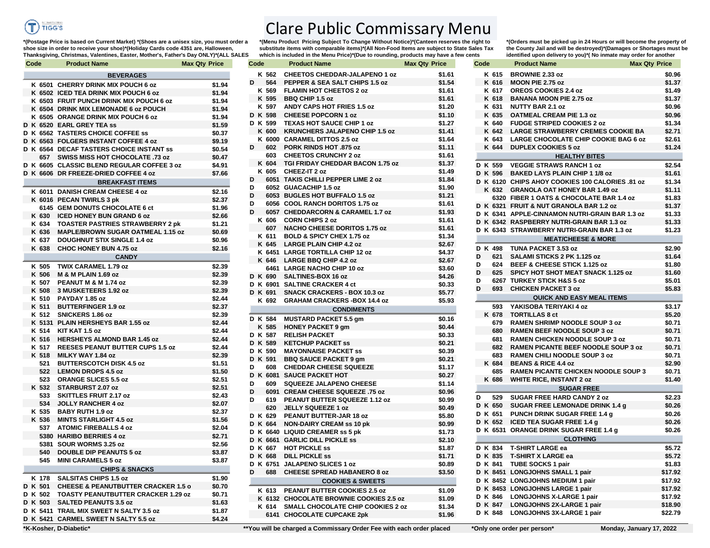

## Clare Public Commissary Menu **\*(Menu Product Pricing Subject To Change Without Notice)\*(Canteen reserves the right to**

substitute items with comparable items)<sup>\*</sup>(All Non-Food Items are subject to State Sales Tax **which is included in the Menu Price)\*(Due to rounding, products may have a few cents** 

**\*(Postage Price is based on Current Market) \*(Shoes are a unisex size, you must order a shoe size in order to receive your shoe)\*(Holiday Cards code 4351 are, Halloween, Thanksgiving, Christmas, Valentines, Easter, Mother's, Father's Day ONLY)\*(ALL SALES** 

| Code  | <b>Product Name</b>                                         | <b>Max Qty Price</b> | Code     | <b>Product Name</b>                     | <b>Max Qty Price</b> | Code     | <b>Product Name</b>                                                                      | <b>Max Qty Price</b> |
|-------|-------------------------------------------------------------|----------------------|----------|-----------------------------------------|----------------------|----------|------------------------------------------------------------------------------------------|----------------------|
|       | <b>BEVERAGES</b>                                            |                      | K 562    | <b>CHEETOS CHEDDAR-JALAPENO 1 oz</b>    | \$1.61               |          | K 615 BROWNIE 2.33 oz                                                                    | \$0                  |
|       | K 6501 CHERRY DRINK MIX POUCH 6 oz                          | \$1.94               | D<br>564 | PEPPER & SEA SALT CHIPS 1.5 oz          | \$1.54               |          | K 616 MOON PIE 2.75 oz                                                                   | \$1                  |
|       | K 6502 ICED TEA DRINK MIX POUCH 6 oz                        | \$1.94               | K 569    | <b>FLAMIN HOT CHEETOS 2 oz</b>          | \$1.61               | K 617    | OREOS COOKIES 2.4 oz                                                                     | \$1                  |
|       | K 6503 FRUIT PUNCH DRINK MIX POUCH 6 oz                     | \$1.94               | K 595    | <b>BBQ CHIP 1.5 oz</b>                  | \$1.61               | K 618    | <b>BANANA MOON PIE 2.75 oz</b>                                                           | \$1                  |
|       | K 6504 DRINK MIX LEMONADE 6 oz POUCH                        | \$1.94               | K 597    | ANDY CAPS HOT FRIES 1.5 oz              | \$1.20               | K 631    | NUTTY BAR 2.1 oz                                                                         | \$0                  |
|       | K 6505 ORANGE DRINK MIX POUCH 6 oz                          | \$1.94               | D K 598  | <b>CHEESE POPCORN 1 oz</b>              | \$1.10               |          | K 635 OATMEAL CREAM PIE 1.3 oz                                                           | \$0                  |
|       | K 6520 EARL GREY TEA ss                                     | \$1.59               | D K 599  | <b>TEXAS HOT SAUCE CHIP 1 oz</b>        | \$1.27               |          | K 640 FUDGE STRIPED COOKIES 2 oz                                                         | \$1                  |
|       | K 6562 TASTERS CHOICE COFFEE SS                             | \$0.37               | K 600    | <b>KRUNCHERS JALAPENO CHIP 1.5 oz</b>   | \$1.41               |          | K 642 LARGE STRAWBERRY CREMES COOKIE BA                                                  | \$2                  |
|       | K 6563 FOLGERS INSTANT COFFEE 4 oz                          | \$9.19               |          | K 6000 CARAMEL DITTOS 2.5 oz            | \$1.64               |          | K 643 LARGE CHOCOLATE CHIP COOKIE BAG 6 oz                                               | \$2                  |
|       | K 6564 DECAF TASTERS CHOICE INSTANT SS                      | \$0.54               | 602<br>D | <b>PORK RINDS HOT .875 oz</b>           | \$1.11               | K 644    | <b>DUPLEX COOKIES 5 oz</b>                                                               | \$1                  |
| 657   | SWISS MISS HOT CHOCOLATE .73 oz                             | \$0.47               | 603      | <b>CHEETOS CRUNCHY 2 oz</b>             | \$1.61               |          | <b>HEALTHY BITES</b>                                                                     |                      |
|       | K 6605 CLASSIC BLEND REGULAR COFFEE 3 oz                    |                      | K 604    | TGI FRIDAY CHEDDAR BACON 1.75 oz        | \$1.37               | D K 559  | <b>VEGGIE STRAWS RANCH 1 oz</b>                                                          | \$2                  |
|       |                                                             | \$4.91               | K 605    | CHEEZ-IT 2 oz                           | \$1.49               | D K 596  |                                                                                          | \$1                  |
|       | K 6606 DR FREEZE-DRIED COFFEE 4 oz                          | \$7.66               | D        | 6051 TAKIS CHILLI PEPPER LIME 2 oz      | \$1.84               |          | <b>BAKED LAYS PLAIN CHIP 1 1/8 oz</b><br>D K 6120 CHIPS AHOY COOKIES 100 CALORIES .81 oz | \$1                  |
|       | <b>BREAKFAST ITEMS</b>                                      |                      | D        | 6052 GUACACHIP 1.5 oz                   | \$1.90               |          |                                                                                          |                      |
|       | K 6011 DANISH CREAM CHEESE 4 oz                             | \$2.16               | D        | 6053 BUGLES HOT BUFFALO 1.5 oz          | \$1.21               |          | K 632 GRANOLA OAT HONEY BAR 1.49 oz                                                      | \$1<br>\$1           |
|       | K 6016 PECAN TWIRLS 3 pk                                    | \$2.37               | D        | 6056 COOL RANCH DORITOS 1.75 oz         | \$1.61               |          | 6320 FIBER 1 OATS & CHOCOLATE BAR 1.4 oz                                                 |                      |
|       | 6145 GEM DONUTS CHOCOLATE 6 ct                              | \$1.96               | D        | 6057 CHEDDARCORN & CARAMEL 1.7 oz       | \$1.93               |          | D K 6321 FRUIT & NUT GRANOLA BAR 1.2 oz                                                  | \$1                  |
| K 630 | <b>ICED HONEY BUN GRAND 6 oz</b>                            | \$2.66               | K 606    | <b>CORN CHIPS 2 oz</b>                  | \$1.61               |          | D K 6341 APPLE-CINNAMON NUTRI-GRAIN BAR 1.3 oz                                           | \$1                  |
| K 634 | <b>TOASTER PASTRIES STRAWBERRY 2 pk</b>                     | \$1.21               | 607      | <b>NACHO CHEESE DORITOS 1.75 oz</b>     | \$1.61               |          | D K 6342 RASPBERRY NUTRI-GRAIN BAR 1.3 oz                                                | \$1                  |
| K 636 | <b>MAPLE/BROWN SUGAR OATMEAL 1.15 oz</b>                    | \$0.69               | K 611    | BOLD & SPICY CHEX 1.75 oz               | \$1.34               |          | D K 6343 STRAWBERRY NUTRI-GRAIN BAR 1.3 oz                                               | \$1                  |
| K 637 | <b>DOUGHNUT STIX SINGLE 1.4 oz</b>                          | \$0.96               | K 645    | <b>LARGE PLAIN CHIP 4.2 oz</b>          | \$2.67               |          | <b>MEAT/CHEESE &amp; MORE</b>                                                            |                      |
| K 638 | <b>CHOC HONEY BUN 4.75 oz</b>                               | \$2.16               |          | K 6451 LARGE TORTILLA CHIP 12 oz        | \$4.37               |          | D K 498 TUNA PACKET 3.53 oz                                                              | \$2                  |
|       | <b>CANDY</b>                                                |                      |          | K 646 LARGE BBQ CHIP 4.2 oz             | \$2.67               | 621<br>D | SALAMI STICKS 2 PK 1.125 oz                                                              | \$1                  |
| K 505 | TWIX CARAMEL 1.79 oz                                        | \$2.39               |          | 6461 LARGE NACHO CHIP 10 oz             | \$3.60               | D        | 624 BEEF & CHEESE STICK 1.125 oz                                                         | \$1                  |
| K 506 | <b>M &amp; M PLAIN 1.69 oz</b>                              | \$2.39               | D K 690  | SALTINES-BOX 16 oz                      | \$4.26               | D<br>625 | <b>SPICY HOT SHOT MEAT SNACK 1.125 oz</b>                                                | \$1                  |
| K 507 | PEANUT M & M 1.74 oz                                        | \$2.39               |          | D K 6901 SALTINE CRACKER 4 ct           | \$0.33               | D        | 6267 TURKEY STICK H&S 5 oz                                                               | \$5                  |
| K 508 | 3 MUSKETEERS 1.92 oz                                        | \$2.39               | D K 691  | <b>SNACK CRACKERS - BOX 10.3 oz</b>     | \$5.77               | D        | 693 CHICKEN PACKET 3 oz                                                                  | \$5                  |
| K 510 | PAYDAY 1.85 oz                                              | \$2.44               | K 692    | <b>GRAHAM CRACKERS -BOX 14.4 oz</b>     | \$5.93               |          | <b>QUICK AND EASY MEAL ITEMS</b>                                                         |                      |
| K 511 | <b>BUTTERFINGER 1.9 oz</b>                                  | \$2.37               |          |                                         |                      | 593      | YAKISOBA TERIYAKI 4 oz                                                                   | \$3                  |
|       | K 512 SNICKERS 1.86 oz                                      | \$2.39               |          | <b>CONDIMENTS</b>                       |                      |          | K 678 TORTILLAS 8 ct                                                                     | \$5                  |
|       | K 5131 PLAIN HERSHEYS BAR 1.55 oz                           | \$2.44               | D K 584  | <b>MUSTARD PACKET 5.5 gm</b>            | \$0.16               | 679      | <b>RAMEN SHRIMP NOODLE SOUP 3 oz</b>                                                     | \$0                  |
| K 514 | KIT KAT 1.5 oz                                              | \$2.44               | K 585    | <b>HONEY PACKET 9 gm</b>                | \$0.44               | 680      | <b>RAMEN BEEF NOODLE SOUP 3 oz</b>                                                       | \$0                  |
|       | K 516 HERSHEYS ALMOND BAR 1.45 oz                           | \$2.44               | D K 587  | <b>RELISH PACKET</b>                    | \$0.33               | 681      | <b>RAMEN CHICKEN NOODLE SOUP 3 oz</b>                                                    | \$0                  |
|       | K 517 REESES PEANUT BUTTER CUPS 1.5 oz                      | \$2.44               | D K 589  | <b>KETCHUP PACKET SS</b>                | \$0.21               | 682      | <b>RAMEN PICANTE BEEF NOODLE SOUP 3 oz</b>                                               | \$0                  |
|       | K 518 MILKY WAY 1.84 oz                                     | \$2.39               | D K 590  | <b>MAYONNAISE PACKET SS</b>             | \$0.39               | 683      | <b>RAMEN CHILI NOODLE SOUP 3 oz</b>                                                      | \$0                  |
| 521   | <b>BUTTERSCOTCH DISK 4.5 oz</b>                             | \$1.51               | D K 591  | <b>BBQ SAUCE PACKET 9 gm</b>            | \$0.21               | K 684    | <b>BEANS &amp; RICE 4.4 oz</b>                                                           | \$2                  |
| 522   | <b>LEMON DROPS 4.5 oz</b>                                   | \$1.50               | D<br>608 | <b>CHEDDAR CHEESE SQUEEZE</b>           | \$1.17               | 685      | <b>RAMEN PICANTE CHICKEN NOODLE SOUP 3</b>                                               | \$0                  |
| 523   | <b>ORANGE SLICES 5.5 oz</b>                                 | \$2.51               |          | D K 6081 SAUCE PACKET HOT               | \$0.27               |          | K 686 WHITE RICE, INSTANT 2 oz                                                           | \$1                  |
|       | K 532 STARBURST 2.07 oz                                     | \$2.51               | D<br>609 | <b>SQUEEZE JALAPENO CHEESE</b>          | \$1.14               |          | <b>SUGAR FREE</b>                                                                        |                      |
| 533   | <b>SKITTLES FRUIT 2.17 oz</b>                               | \$2.43               | D        | 6091 CREAM CHEESE SQUEEZE .75 oz        | \$0.96               |          |                                                                                          |                      |
| 534   | <b>JOLLY RANCHER 4 oz</b>                                   | \$2.07               | D<br>619 | PEANUT BUTTER SQUEEZE 1.12 oz           | \$0.99               | 529<br>D | <b>SUGAR FREE HARD CANDY 2 oz</b>                                                        | \$2                  |
| K 535 | <b>BABY RUTH 1.9 oz</b>                                     | \$2.37               | 620      | JELLY SQUEEZE 1 oz                      | \$0.49               |          | D K 650 SUGAR FREE LEMONADE DRINK 1.4 g                                                  | \$0                  |
|       | K 536 MINTS STARLIGHT 4.5 oz                                | \$1.56               | D K 629  | PEANUT BUTTER-JAR 18 oz                 | \$5.80               |          | D K 651 PUNCH DRINK SUGAR FREE 1.4 g                                                     | \$0                  |
| 537   | <b>ATOMIC FIREBALLS 4 oz</b>                                | \$2.04               | D K 664  | <b>NON-DAIRY CREAM ss 10 pk</b>         | \$0.99               |          | D K 652 ICED TEA SUGAR FREE 1.4 g                                                        | \$0                  |
|       | 5380 HARIBO BERRIES 4 oz                                    | \$2.71               |          | D K 6640 LIQUID CREAMER ss 5 pk         | \$1.73               |          | D K 6531 ORANGE DRINK SUGAR FREE 1.4 g                                                   | \$0                  |
|       | 5381 SOUR WORMS 3.25 oz                                     | \$2.56               |          | D K 6661 GARLIC DILL PICKLE ss          | \$2.10               |          | <b>CLOTHING</b>                                                                          |                      |
| 540   |                                                             |                      | D K 667  | <b>HOT PICKLE ss</b>                    | \$1.87               |          | D K 834 T-SHIRT LARGE ea                                                                 | \$5                  |
| 545   | <b>DOUBLE DIP PEANUTS 5 oz</b><br><b>MINI CARAMELS 5 oz</b> | \$3.87               | D K 668  | <b>DILL PICKLE SS</b>                   | \$1.71               |          | D K 835 T-SHIRT X LARGE ea                                                               | \$5                  |
|       |                                                             | \$3.87               |          | D K 6751 JALAPENO SLICES 1 oz           | \$0.89               |          | D K 841 TUBE SOCKS 1 pair                                                                | \$1                  |
|       | <b>CHIPS &amp; SNACKS</b>                                   |                      | D<br>688 | <b>CHEESE SPREAD HABANERO 8 oz</b>      | \$3.50               |          | D K 8451 LONGJOHNS SMALL 1 pair                                                          | \$17                 |
| K 178 | <b>SALSITAS CHIPS 1.5 oz</b>                                | \$1.90               |          | <b>COOKIES &amp; SWEETS</b>             |                      |          | D K 8452 LONGJOHNS MEDIUM 1 pair                                                         | \$17                 |
| K 501 | <b>CHEESE &amp; PEANUTBUTTER CRACKER 1.5 o</b>              | \$0.70               |          | K 613 PEANUT BUTTER COOKIES 2.5 oz      | \$1.09               |          | D K 8453 LONGJOHNS LARGE 1 pair                                                          | \$17                 |
| K 502 | <b>TOASTY PEANUTBUTTER CRACKER 1.29 oz</b>                  | \$0.71               |          | K 6132 CHOCOLATE BROWNIE COOKIES 2.5 oz | \$1.09               |          | D K 846 LONGJOHNS X-LARGE 1 pair                                                         | \$17                 |
| K 503 | <b>SALTED PEANUTS 3.5 oz</b>                                | \$1.63               |          | K 614 SMALL CHOCOLATE CHIP COOKIES 2 oz | \$1.34               |          | D K 847 LONGJOHNS 2X-LARGE 1 pair                                                        | \$18                 |
|       | K 5411 TRAIL MIX SWEET N SALTY 3.5 oz                       | \$1.87               |          | 6141 CHOCOLATE CUPCAKE 2pk              | \$1.96               |          | D K 848 LONGJOHNS 3X-LARGE 1 pair                                                        | \$22                 |
|       | K 5421 CARMEL SWEET N SALTY 5.5 oz                          | \$4.24               |          |                                         |                      |          |                                                                                          |                      |

**\*(Orders must be picked up in 24 Hours or will become the property of the County Jail and will be destroyed)\*(Damages or Shortages must be identified upon delivery to you)\*( No inmate may order for another** 

| Code |                    | <b>Product Name</b>                                                          | <b>Max Qty Price</b> |
|------|--------------------|------------------------------------------------------------------------------|----------------------|
|      | K 615              | <b>BROWNIE 2.33 oz</b>                                                       | \$0.96               |
|      | K 616              | <b>MOON PIE 2.75 oz</b>                                                      | \$1.37               |
|      | K 617              | <b>OREOS COOKIES 2.4 oz</b>                                                  | \$1.49               |
|      | K 618              | <b>BANANA MOON PIE 2.75 oz</b>                                               | \$1.37               |
|      | K 631              | <b>NUTTY BAR 2.1 oz</b>                                                      | \$0.96               |
|      | K 635              | <b>OATMEAL CREAM PIE 1.3 oz</b>                                              | \$0.96               |
|      | K 640              | <b>FUDGE STRIPED COOKIES 2 oz</b>                                            | \$1.34               |
|      | K 642              | <b>LARGE STRAWBERRY CREMES COOKIE BA</b>                                     | \$2.71               |
|      | K 643              | LARGE CHOCOLATE CHIP COOKIE BAG 6 oz                                         | \$2.61               |
|      | K 644              | <b>DUPLEX COOKIES 5 oz</b>                                                   | \$1.24               |
|      |                    | <b>HEALTHY BITES</b>                                                         |                      |
|      | D K 559            | <b>VEGGIE STRAWS RANCH 1 oz</b>                                              | \$2.54               |
|      | D K 596            | <b>BAKED LAYS PLAIN CHIP 1 1/8 oz</b>                                        | \$1.61               |
|      |                    | D K 6120 CHIPS AHOY COOKIES 100 CALORIES .81 oz                              | \$1.34               |
|      | K 632              | <b>GRANOLA OAT HONEY BAR 1.49 oz</b>                                         | \$1.11               |
|      |                    | 6320 FIBER 1 OATS & CHOCOLATE BAR 1.4 oz                                     | \$1.83               |
|      |                    | D K 6321 FRUIT & NUT GRANOLA BAR 1.2 oz                                      | \$1.37               |
|      | D K 6341           | APPLE-CINNAMON NUTRI-GRAIN BAR 1.3 oz                                        | \$1.33               |
|      |                    | D K 6342 RASPBERRY NUTRI-GRAIN BAR 1.3 oz                                    | \$1.33               |
|      |                    | D K 6343 STRAWBERRY NUTRI-GRAIN BAR 1.3 oz                                   | \$1.23               |
|      |                    | <b>MEAT/CHEESE &amp; MORE</b>                                                |                      |
| D    | K 498              | TUNA PACKET 3.53 oz                                                          | \$2.90               |
| D    | 621                | SALAMI STICKS 2 PK 1.125 oz                                                  | \$1.64               |
| D    | 624                | BEEF & CHEESE STICK 1.125 oz                                                 | \$1.80               |
| D    | 625                | SPICY HOT SHOT MEAT SNACK 1.125 oz                                           | \$1.60               |
| D    |                    | 6267 TURKEY STICK H&S 5 oz                                                   | \$5.01               |
| D    | 693                | <b>CHICKEN PACKET 3 oz</b>                                                   | \$5.83               |
|      |                    | <b>QUICK AND EASY MEAL ITEMS</b>                                             |                      |
|      | 593                | YAKISOBA TERIYAKI 4 oz                                                       | \$3.17               |
|      | K 678              | <b>TORTILLAS 8 ct</b>                                                        | \$5.20               |
|      |                    |                                                                              |                      |
|      | 679                | <b>RAMEN SHRIMP NOODLE SOUP 3 oz</b>                                         |                      |
|      | 680                | RAMEN BEEF NOODLE SOUP 3 oz                                                  | \$0.71               |
|      | 681                |                                                                              | \$0.71<br>\$0.71     |
|      | 682                | RAMEN CHICKEN NOODLE SOUP 3 oz<br><b>RAMEN PICANTE BEEF NOODLE SOUP 3 oz</b> | \$0.71               |
|      | 683                | RAMEN CHILI NOODLE SOUP 3 oz                                                 | \$0.71               |
|      | K 684              | <b>BEANS &amp; RICE 4.4 oz</b>                                               | \$2.90               |
|      | 685                | <b>RAMEN PICANTE CHICKEN NOODLE SOUP 3</b>                                   | \$0.71               |
|      | K 686              | <b>WHITE RICE, INSTANT 2 oz</b>                                              | \$1.40               |
|      |                    | <b>SUGAR FREE</b>                                                            |                      |
| D    | 529                | <b>SUGAR FREE HARD CANDY 2 oz</b>                                            | \$2.23               |
|      | D K 650            | <b>SUGAR FREE LEMONADE DRINK 1.4 g</b>                                       | \$0.26               |
|      | D K 651            | PUNCH DRINK SUGAR FREE 1.4 g                                                 | \$0.26               |
|      | D K 652            |                                                                              |                      |
| D    | K 6531             | <b>ICED TEA SUGAR FREE 1.4 g</b>                                             | \$0.26               |
|      |                    | ORANGE DRINK SUGAR FREE 1.4 g                                                | \$0.26               |
|      |                    | <b>CLOTHING</b>                                                              |                      |
|      | D K 834            | <b>T-SHIRT LARGE ea</b>                                                      | \$5.72               |
|      | D K 835            | <b>T-SHIRT X LARGE ea</b>                                                    |                      |
|      | D K 841            | <b>TUBE SOCKS 1 pair</b>                                                     | \$1.83               |
|      |                    | D K 8451 LONGJOHNS SMALL 1 pair                                              | \$5.72               |
|      |                    | D K 8452 LONGJOHNS MEDIUM 1 pair                                             | \$17.92              |
|      |                    | D K 8453 LONGJOHNS LARGE 1 pair                                              | \$17.92<br>\$17.92   |
|      | D K 846            | <b>LONGJOHNS X-LARGE 1 pair</b>                                              | \$17.92              |
|      | D K 847<br>D K 848 | <b>LONGJOHNS 2X-LARGE 1 pair</b><br>LONGJOHNS 3X-LARGE 1 pair                | \$18.90<br>\$22.79   |

**\*K-Kosher, D-Diabetic\* \*\*You will be charged a Commissary Order Fee with each order placed \*Only one order per person\* Monday, January 17, 2022**